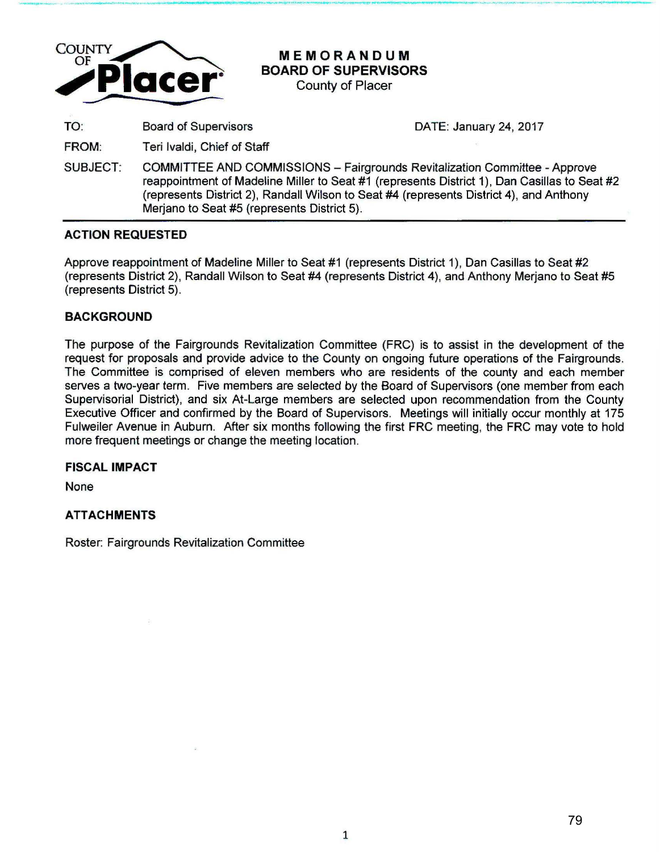

# **MEMORANDUM BOARD OF SUPERVISORS**

\_,.\_,\_...\_- .. ......-.. ----· .... \_,. \_\_\_ .. ,\_, .. ,..., ,\_..\_.\_~.-~.......:..~--------~-- ....- -\_ \_... \_\_\_ \_

County of Placer

TO: Board of Supervisors DATE: January 24, 2017

- FROM: Teri lvaldi, Chief of Staff
- SUBJECT: COMMITTEE AND COMMISSIONS Fairgrounds Revitalization Committee -Approve reappointment of Madeline Miller to Seat #1 (represents District 1), Dan Casillas to Seat #2 (represents District 2), Randall Wilson to Seat #4 (represents District 4}, and Anthony Merjano to Seat #5 (represents District 5).

# **ACTION REQUESTED**

Approve reappointment of Madeline Miller to Seat #1 (represents District 1), Dan Casillas to Seat #2 (represents District 2), Randall Wilson to Seat #4 (represents District 4), and Anthony Merjano to Seat #5 (represents District 5).

# **BACKGROUND**

The purpose of the Fairgrounds Revitalization Committee (FRC) is to assist in the development of the request for proposals and provide advice to the County on ongoing future operations of the Fairgrounds. The Committee is comprised of eleven members who are residents of the county and each member serves a two-year term. Five members are selected by the Board of Supervisors (one member from each Supervisorial District), and six At-Large members are selected upon recommendation from the County Executive Officer and confirmed by the Board of Supervisors. Meetings will initially occur monthly at 175 Fulweiler Avenue in Auburn. After six months following the first FRC meeting, the FRC may vote to hold more frequent meetings or change the meeting location.

# **FISCAL IMPACT**

None

# **ATTACHMENTS**

Roster: Fairgrounds Revitalization Committee